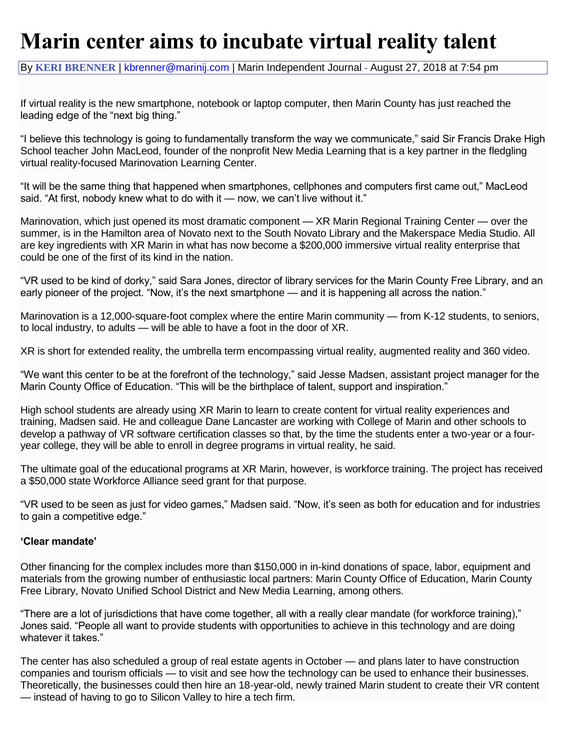## **Marin center aims to incubate virtual reality talent**

By **KERI [BRENNER](https://www.marinij.com/author/keri-brenner/)** | [kbrenner@marinij.com](mailto:kbrenner@marinij.com) | Marin Independent Journal - August 27, 2018 at 7:54 pm

If virtual reality is the new smartphone, notebook or laptop computer, then Marin County has just reached the leading edge of the "next big thing."

"I believe this technology is going to fundamentally transform the way we communicate," said Sir Francis Drake High School teacher John MacLeod, founder of the nonprofit New Media Learning that is a key partner in the fledgling virtual reality-focused Marinovation Learning Center.

"It will be the same thing that happened when smartphones, cellphones and computers first came out," MacLeod said. "At first, nobody knew what to do with it — now, we can't live without it."

Marinovation, which just opened its most dramatic component — XR Marin Regional Training Center — over the summer, is in the Hamilton area of Novato next to the South Novato Library and the Makerspace Media Studio. All are key ingredients with XR Marin in what has now become a \$200,000 immersive virtual reality enterprise that could be one of the first of its kind in the nation.

"VR used to be kind of dorky," said Sara Jones, director of library services for the Marin County Free Library, and an early pioneer of the project. "Now, it's the next smartphone — and it is happening all across the nation."

Marinovation is a 12,000-square-foot complex where the entire Marin community — from K-12 students, to seniors, to local industry, to adults — will be able to have a foot in the door of XR.

XR is short for extended reality, the umbrella term encompassing virtual reality, augmented reality and 360 video.

"We want this center to be at the forefront of the technology," said Jesse Madsen, assistant project manager for the Marin County Office of Education. "This will be the birthplace of talent, support and inspiration."

High school students are already using XR Marin to learn to create content for virtual reality experiences and training, Madsen said. He and colleague Dane Lancaster are working with College of Marin and other schools to develop a pathway of VR software certification classes so that, by the time the students enter a two-year or a fouryear college, they will be able to enroll in degree programs in virtual reality, he said.

The ultimate goal of the educational programs at XR Marin, however, is workforce training. The project has received a \$50,000 state Workforce Alliance seed grant for that purpose.

"VR used to be seen as just for video games," Madsen said. "Now, it's seen as both for education and for industries to gain a competitive edge."

## **'Clear mandate'**

Other financing for the complex includes more than \$150,000 in in-kind donations of space, labor, equipment and materials from the growing number of enthusiastic local partners: Marin County Office of Education, Marin County Free Library, Novato Unified School District and New Media Learning, among others.

"There are a lot of jurisdictions that have come together, all with a really clear mandate (for workforce training)," Jones said. "People all want to provide students with opportunities to achieve in this technology and are doing whatever it takes."

The center has also scheduled a group of real estate agents in October — and plans later to have construction companies and tourism officials — to visit and see how the technology can be used to enhance their businesses. Theoretically, the businesses could then hire an 18-year-old, newly trained Marin student to create their VR content — instead of having to go to Silicon Valley to hire a tech firm.